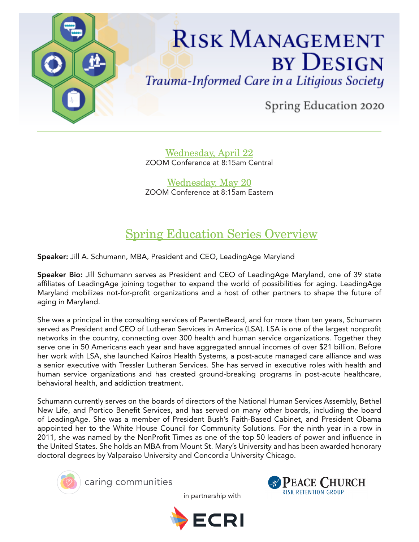

Wednesday, April 22 ZOOM Conference at 8:15am Central

Wednesday, May 20 ZOOM Conference at 8:15am Eastern

# Spring Education Series Overview

Speaker: Jill A. Schumann, MBA, President and CEO, LeadingAge Maryland

Speaker Bio: Jill Schumann serves as President and CEO of LeadingAge Maryland, one of 39 state affiliates of LeadingAge joining together to expand the world of possibilities for aging. LeadingAge Maryland mobilizes not-for-profit organizations and a host of other partners to shape the future of aging in Maryland.

She was a principal in the consulting services of ParenteBeard, and for more than ten years, Schumann served as President and CEO of Lutheran Services in America (LSA). LSA is one of the largest nonprofit networks in the country, connecting over 300 health and human service organizations. Together they serve one in 50 Americans each year and have aggregated annual incomes of over \$21 billion. Before her work with LSA, she launched Kairos Health Systems, a post-acute managed care alliance and was a senior executive with Tressler Lutheran Services. She has served in executive roles with health and human service organizations and has created ground-breaking programs in post-acute healthcare, behavioral health, and addiction treatment.

Schumann currently serves on the boards of directors of the National Human Services Assembly, Bethel New Life, and Portico Benefit Services, and has served on many other boards, including the board of LeadingAge. She was a member of President Bush's Faith-Based Cabinet, and President Obama appointed her to the White House Council for Community Solutions. For the ninth year in a row in 2011, she was named by the NonProfit Times as one of the top 50 leaders of power and influence in the United States. She holds an MBA from Mount St. Mary's University and has been awarded honorary doctoral degrees by Valparaiso University and Concordia University Chicago.



caring communities

in partnership with



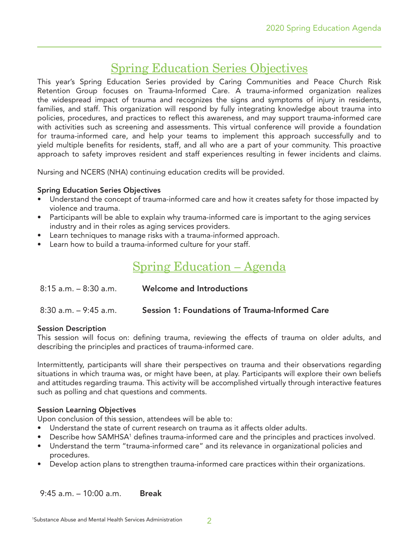# Spring Education Series Objectives

This year's Spring Education Series provided by Caring Communities and Peace Church Risk Retention Group focuses on Trauma-Informed Care. A trauma-informed organization realizes the widespread impact of trauma and recognizes the signs and symptoms of injury in residents, families, and staff. This organization will respond by fully integrating knowledge about trauma into policies, procedures, and practices to reflect this awareness, and may support trauma-informed care with activities such as screening and assessments. This virtual conference will provide a foundation for trauma-informed care, and help your teams to implement this approach successfully and to yield multiple benefits for residents, staff, and all who are a part of your community. This proactive approach to safety improves resident and staff experiences resulting in fewer incidents and claims.

Nursing and NCERS (NHA) continuing education credits will be provided.

#### Spring Education Series Objectives

- Understand the concept of trauma-informed care and how it creates safety for those impacted by violence and trauma.
- Participants will be able to explain why trauma-informed care is important to the aging services industry and in their roles as aging services providers.
- Learn techniques to manage risks with a trauma-informed approach.
- Learn how to build a trauma-informed culture for your staff.

# Spring Education – Agenda

| $8:15$ a.m. $-8:30$ a.m. | Welcome and Introductions                             |
|--------------------------|-------------------------------------------------------|
| $8:30$ a.m. $-9:45$ a.m. | <b>Session 1: Foundations of Trauma-Informed Care</b> |

#### Session Description

This session will focus on: defining trauma, reviewing the effects of trauma on older adults, and describing the principles and practices of trauma-informed care.

Intermittently, participants will share their perspectives on trauma and their observations regarding situations in which trauma was, or might have been, at play. Participants will explore their own beliefs and attitudes regarding trauma. This activity will be accomplished virtually through interactive features such as polling and chat questions and comments.

#### Session Learning Objectives

Upon conclusion of this session, attendees will be able to:

- Understand the state of current research on trauma as it affects older adults.
- Describe how SAMHSA<sup>1</sup> defines trauma-informed care and the principles and practices involved.
- Understand the term "trauma-informed care" and its relevance in organizational policies and procedures.
- Develop action plans to strengthen trauma-informed care practices within their organizations.

9:45 a.m. – 10:00 a.m. Break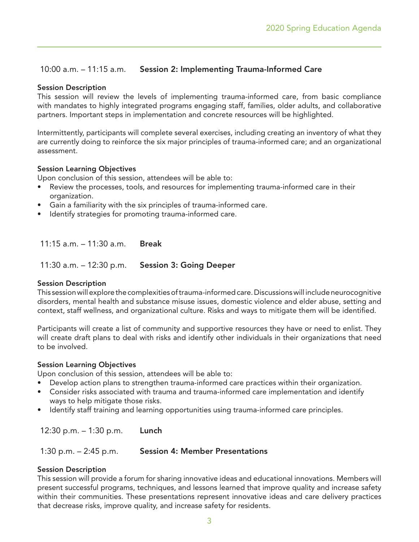## 10:00 a.m. – 11:15 a.m. Session 2: Implementing Trauma-Informed Care

#### Session Description

This session will review the levels of implementing trauma-informed care, from basic compliance with mandates to highly integrated programs engaging staff, families, older adults, and collaborative partners. Important steps in implementation and concrete resources will be highlighted.

Intermittently, participants will complete several exercises, including creating an inventory of what they are currently doing to reinforce the six major principles of trauma-informed care; and an organizational assessment.

#### Session Learning Objectives

Upon conclusion of this session, attendees will be able to:

- Review the processes, tools, and resources for implementing trauma-informed care in their organization.
- Gain a familiarity with the six principles of trauma-informed care.
- Identify strategies for promoting trauma-informed care.

11:15 a.m. – 11:30 a.m. Break

11:30 a.m. – 12:30 p.m. Session 3: Going Deeper

#### Session Description

This session will explore the complexities of trauma-informed care. Discussions will include neurocognitive disorders, mental health and substance misuse issues, domestic violence and elder abuse, setting and context, staff wellness, and organizational culture. Risks and ways to mitigate them will be identified.

Participants will create a list of community and supportive resources they have or need to enlist. They will create draft plans to deal with risks and identify other individuals in their organizations that need to be involved.

#### Session Learning Objectives

Upon conclusion of this session, attendees will be able to:

- Develop action plans to strengthen trauma-informed care practices within their organization.
- Consider risks associated with trauma and trauma-informed care implementation and identify ways to help mitigate those risks.
- Identify staff training and learning opportunities using trauma-informed care principles.

12:30 p.m. – 1:30 p.m. Lunch

1:30 p.m. – 2:45 p.m. Session 4: Member Presentations

#### Session Description

This session will provide a forum for sharing innovative ideas and educational innovations. Members will present successful programs, techniques, and lessons learned that improve quality and increase safety within their communities. These presentations represent innovative ideas and care delivery practices that decrease risks, improve quality, and increase safety for residents.